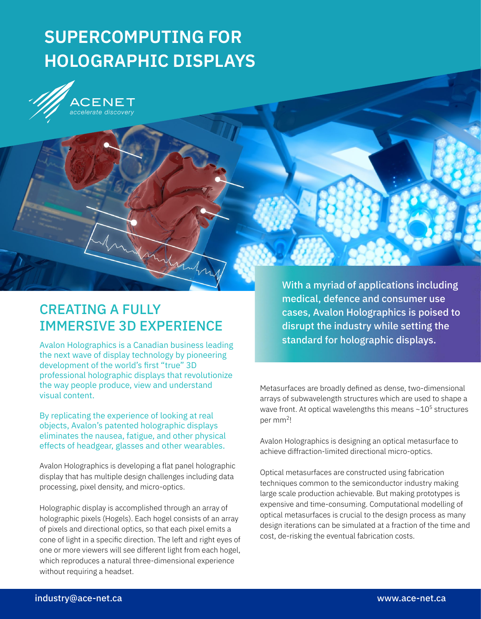# **SUPERCOMPUTING FOR HOLOGRAPHIC DISPLAYS**



## CREATING A FULLY IMMERSIVE 3D EXPERIENCE

Mary Mary

Avalon Holographics is a Canadian business leading the next wave of display technology by pioneering development of the world's first "true" 3D professional holographic displays that revolutionize the way people produce, view and understand visual content.

By replicating the experience of looking at real objects, Avalon's patented holographic displays eliminates the nausea, fatigue, and other physical effects of headgear, glasses and other wearables.

Avalon Holographics is developing a flat panel holographic display that has multiple design challenges including data processing, pixel density, and micro-optics.

Holographic display is accomplished through an array of holographic pixels (Hogels). Each hogel consists of an array of pixels and directional optics, so that each pixel emits a cone of light in a specific direction. The left and right eyes of one or more viewers will see different light from each hogel, which reproduces a natural three-dimensional experience without requiring a headset.

With a myriad of applications including medical, defence and consumer use cases, Avalon Holographics is poised to disrupt the industry while setting the standard for holographic displays.

Metasurfaces are broadly defined as dense, two-dimensional arrays of subwavelength structures which are used to shape a wave front. At optical wavelengths this means  $\sim\!\!10^5$  structures per mm<sup>2</sup>!

Avalon Holographics is designing an optical metasurface to achieve diffraction-limited directional micro-optics.

Optical metasurfaces are constructed using fabrication techniques common to the semiconductor industry making large scale production achievable. But making prototypes is expensive and time-consuming. Computational modelling of optical metasurfaces is crucial to the design process as many design iterations can be simulated at a fraction of the time and cost, de-risking the eventual fabrication costs.